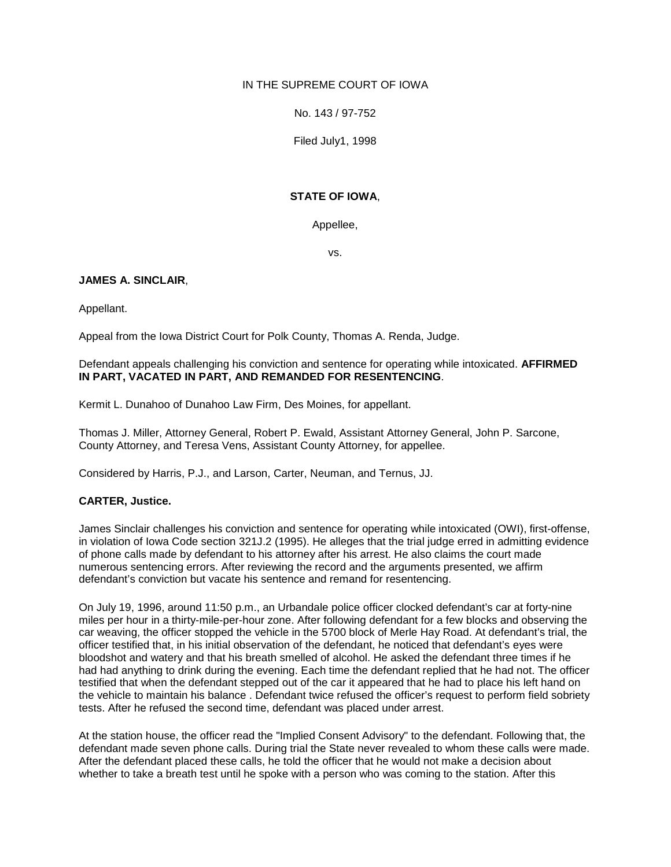### IN THE SUPREME COURT OF IOWA

No. 143 / 97-752

Filed July1, 1998

### **STATE OF IOWA**,

Appellee,

vs.

### **JAMES A. SINCLAIR**,

Appellant.

Appeal from the Iowa District Court for Polk County, Thomas A. Renda, Judge.

### Defendant appeals challenging his conviction and sentence for operating while intoxicated. **AFFIRMED IN PART, VACATED IN PART, AND REMANDED FOR RESENTENCING**.

Kermit L. Dunahoo of Dunahoo Law Firm, Des Moines, for appellant.

Thomas J. Miller, Attorney General, Robert P. Ewald, Assistant Attorney General, John P. Sarcone, County Attorney, and Teresa Vens, Assistant County Attorney, for appellee.

Considered by Harris, P.J., and Larson, Carter, Neuman, and Ternus, JJ.

# **CARTER, Justice.**

James Sinclair challenges his conviction and sentence for operating while intoxicated (OWI), first-offense, in violation of Iowa Code section 321J.2 (1995). He alleges that the trial judge erred in admitting evidence of phone calls made by defendant to his attorney after his arrest. He also claims the court made numerous sentencing errors. After reviewing the record and the arguments presented, we affirm defendant's conviction but vacate his sentence and remand for resentencing.

On July 19, 1996, around 11:50 p.m., an Urbandale police officer clocked defendant's car at forty-nine miles per hour in a thirty-mile-per-hour zone. After following defendant for a few blocks and observing the car weaving, the officer stopped the vehicle in the 5700 block of Merle Hay Road. At defendant's trial, the officer testified that, in his initial observation of the defendant, he noticed that defendant's eyes were bloodshot and watery and that his breath smelled of alcohol. He asked the defendant three times if he had had anything to drink during the evening. Each time the defendant replied that he had not. The officer testified that when the defendant stepped out of the car it appeared that he had to place his left hand on the vehicle to maintain his balance . Defendant twice refused the officer's request to perform field sobriety tests. After he refused the second time, defendant was placed under arrest.

At the station house, the officer read the "Implied Consent Advisory" to the defendant. Following that, the defendant made seven phone calls. During trial the State never revealed to whom these calls were made. After the defendant placed these calls, he told the officer that he would not make a decision about whether to take a breath test until he spoke with a person who was coming to the station. After this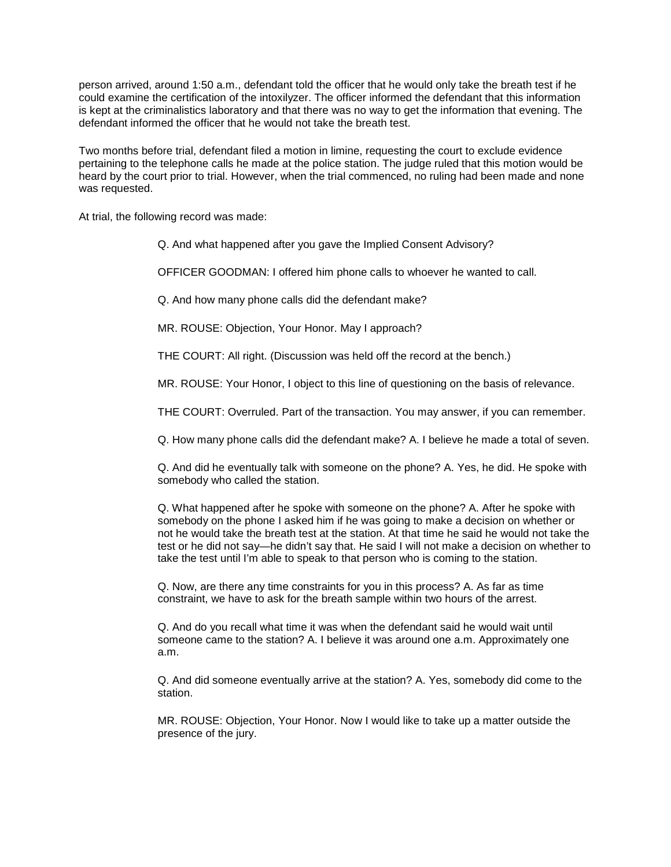person arrived, around 1:50 a.m., defendant told the officer that he would only take the breath test if he could examine the certification of the intoxilyzer. The officer informed the defendant that this information is kept at the criminalistics laboratory and that there was no way to get the information that evening. The defendant informed the officer that he would not take the breath test.

Two months before trial, defendant filed a motion in limine, requesting the court to exclude evidence pertaining to the telephone calls he made at the police station. The judge ruled that this motion would be heard by the court prior to trial. However, when the trial commenced, no ruling had been made and none was requested.

At trial, the following record was made:

Q. And what happened after you gave the Implied Consent Advisory?

OFFICER GOODMAN: I offered him phone calls to whoever he wanted to call.

Q. And how many phone calls did the defendant make?

MR. ROUSE: Objection, Your Honor. May I approach?

THE COURT: All right. (Discussion was held off the record at the bench.)

MR. ROUSE: Your Honor, I object to this line of questioning on the basis of relevance.

THE COURT: Overruled. Part of the transaction. You may answer, if you can remember.

Q. How many phone calls did the defendant make? A. I believe he made a total of seven.

Q. And did he eventually talk with someone on the phone? A. Yes, he did. He spoke with somebody who called the station.

Q. What happened after he spoke with someone on the phone? A. After he spoke with somebody on the phone I asked him if he was going to make a decision on whether or not he would take the breath test at the station. At that time he said he would not take the test or he did not say—he didn't say that. He said I will not make a decision on whether to take the test until I'm able to speak to that person who is coming to the station.

Q. Now, are there any time constraints for you in this process? A. As far as time constraint, we have to ask for the breath sample within two hours of the arrest.

Q. And do you recall what time it was when the defendant said he would wait until someone came to the station? A. I believe it was around one a.m. Approximately one a.m.

Q. And did someone eventually arrive at the station? A. Yes, somebody did come to the station.

MR. ROUSE: Objection, Your Honor. Now I would like to take up a matter outside the presence of the jury.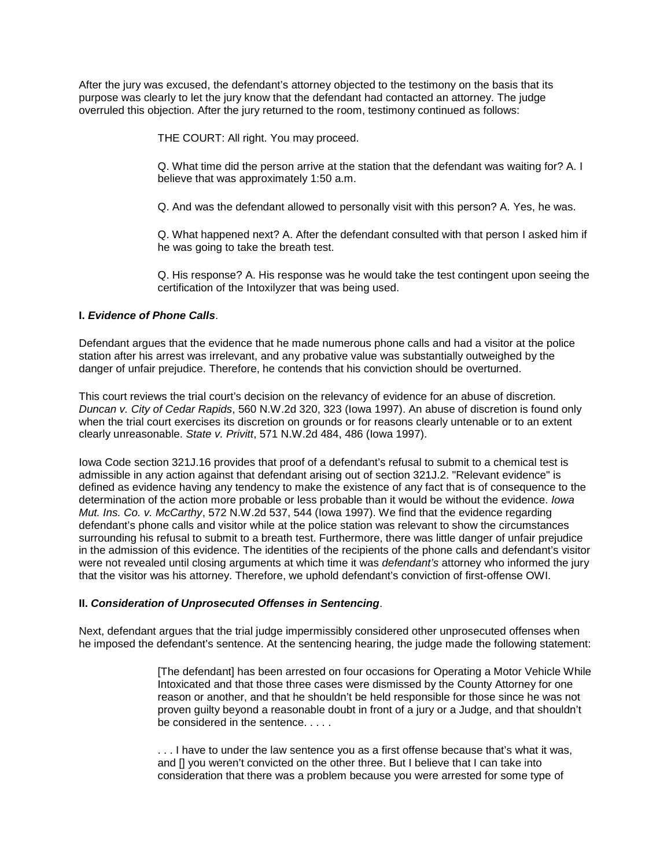After the jury was excused, the defendant's attorney objected to the testimony on the basis that its purpose was clearly to let the jury know that the defendant had contacted an attorney. The judge overruled this objection. After the jury returned to the room, testimony continued as follows:

THE COURT: All right. You may proceed.

Q. What time did the person arrive at the station that the defendant was waiting for? A. I believe that was approximately 1:50 a.m.

Q. And was the defendant allowed to personally visit with this person? A. Yes, he was.

Q. What happened next? A. After the defendant consulted with that person I asked him if he was going to take the breath test.

Q. His response? A. His response was he would take the test contingent upon seeing the certification of the Intoxilyzer that was being used.

# **I.** *Evidence of Phone Calls*.

Defendant argues that the evidence that he made numerous phone calls and had a visitor at the police station after his arrest was irrelevant, and any probative value was substantially outweighed by the danger of unfair prejudice. Therefore, he contends that his conviction should be overturned.

This court reviews the trial court's decision on the relevancy of evidence for an abuse of discretion. *Duncan v. City of Cedar Rapids*, 560 N.W.2d 320, 323 (Iowa 1997). An abuse of discretion is found only when the trial court exercises its discretion on grounds or for reasons clearly untenable or to an extent clearly unreasonable. *State v. Privitt*, 571 N.W.2d 484, 486 (Iowa 1997).

Iowa Code section 321J.16 provides that proof of a defendant's refusal to submit to a chemical test is admissible in any action against that defendant arising out of section 321J.2. "Relevant evidence" is defined as evidence having any tendency to make the existence of any fact that is of consequence to the determination of the action more probable or less probable than it would be without the evidence. *Iowa Mut. Ins. Co. v. McCarthy*, 572 N.W.2d 537, 544 (Iowa 1997). We find that the evidence regarding defendant's phone calls and visitor while at the police station was relevant to show the circumstances surrounding his refusal to submit to a breath test. Furthermore, there was little danger of unfair prejudice in the admission of this evidence. The identities of the recipients of the phone calls and defendant's visitor were not revealed until closing arguments at which time it was *defendant's* attorney who informed the jury that the visitor was his attorney. Therefore, we uphold defendant's conviction of first-offense OWI.

### **II.** *Consideration of Unprosecuted Offenses in Sentencing*.

Next, defendant argues that the trial judge impermissibly considered other unprosecuted offenses when he imposed the defendant's sentence. At the sentencing hearing, the judge made the following statement:

> [The defendant] has been arrested on four occasions for Operating a Motor Vehicle While Intoxicated and that those three cases were dismissed by the County Attorney for one reason or another, and that he shouldn't be held responsible for those since he was not proven guilty beyond a reasonable doubt in front of a jury or a Judge, and that shouldn't be considered in the sentence. . . . .

. . . I have to under the law sentence you as a first offense because that's what it was, and [] you weren't convicted on the other three. But I believe that I can take into consideration that there was a problem because you were arrested for some type of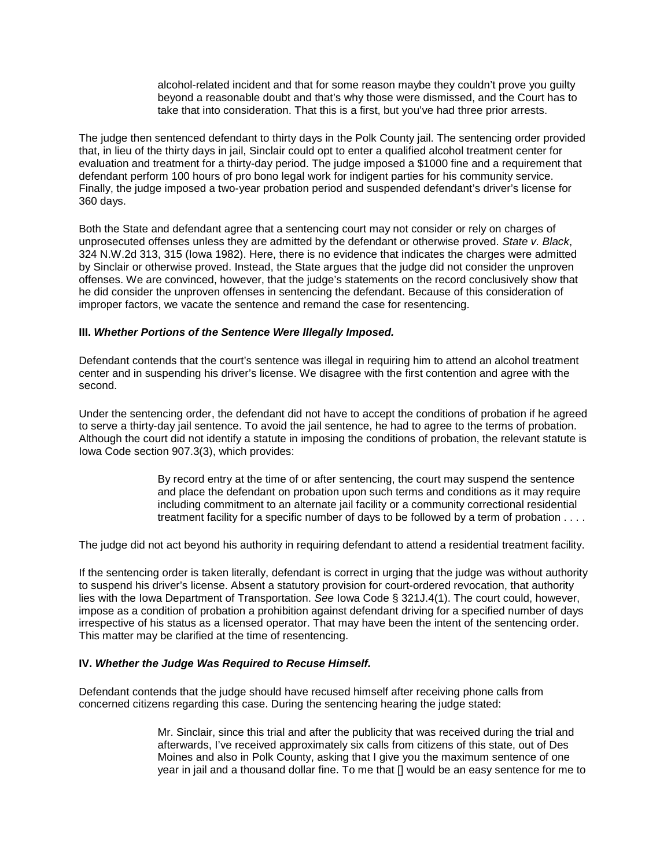alcohol-related incident and that for some reason maybe they couldn't prove you guilty beyond a reasonable doubt and that's why those were dismissed, and the Court has to take that into consideration. That this is a first, but you've had three prior arrests.

The judge then sentenced defendant to thirty days in the Polk County jail. The sentencing order provided that, in lieu of the thirty days in jail, Sinclair could opt to enter a qualified alcohol treatment center for evaluation and treatment for a thirty-day period. The judge imposed a \$1000 fine and a requirement that defendant perform 100 hours of pro bono legal work for indigent parties for his community service. Finally, the judge imposed a two-year probation period and suspended defendant's driver's license for 360 days.

Both the State and defendant agree that a sentencing court may not consider or rely on charges of unprosecuted offenses unless they are admitted by the defendant or otherwise proved. *State v. Black*, 324 N.W.2d 313, 315 (Iowa 1982). Here, there is no evidence that indicates the charges were admitted by Sinclair or otherwise proved. Instead, the State argues that the judge did not consider the unproven offenses. We are convinced, however, that the judge's statements on the record conclusively show that he did consider the unproven offenses in sentencing the defendant. Because of this consideration of improper factors, we vacate the sentence and remand the case for resentencing.

### **III.** *Whether Portions of the Sentence Were Illegally Imposed.*

Defendant contends that the court's sentence was illegal in requiring him to attend an alcohol treatment center and in suspending his driver's license. We disagree with the first contention and agree with the second.

Under the sentencing order, the defendant did not have to accept the conditions of probation if he agreed to serve a thirty-day jail sentence. To avoid the jail sentence, he had to agree to the terms of probation. Although the court did not identify a statute in imposing the conditions of probation, the relevant statute is Iowa Code section 907.3(3), which provides:

> By record entry at the time of or after sentencing, the court may suspend the sentence and place the defendant on probation upon such terms and conditions as it may require including commitment to an alternate jail facility or a community correctional residential treatment facility for a specific number of days to be followed by a term of probation . . . .

The judge did not act beyond his authority in requiring defendant to attend a residential treatment facility.

If the sentencing order is taken literally, defendant is correct in urging that the judge was without authority to suspend his driver's license. Absent a statutory provision for court-ordered revocation, that authority lies with the Iowa Department of Transportation. *See* Iowa Code § 321J.4(1). The court could, however, impose as a condition of probation a prohibition against defendant driving for a specified number of days irrespective of his status as a licensed operator. That may have been the intent of the sentencing order. This matter may be clarified at the time of resentencing.

# **IV.** *Whether the Judge Was Required to Recuse Himself.*

Defendant contends that the judge should have recused himself after receiving phone calls from concerned citizens regarding this case. During the sentencing hearing the judge stated:

> Mr. Sinclair, since this trial and after the publicity that was received during the trial and afterwards, I've received approximately six calls from citizens of this state, out of Des Moines and also in Polk County, asking that I give you the maximum sentence of one year in jail and a thousand dollar fine. To me that [] would be an easy sentence for me to